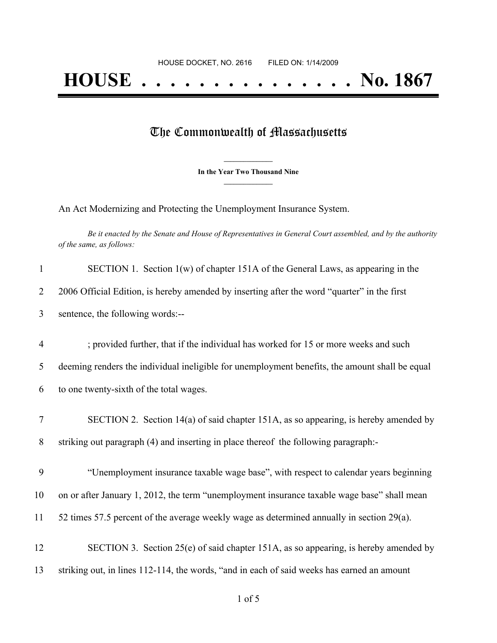## The Commonwealth of Massachusetts

**\_\_\_\_\_\_\_\_\_\_\_\_\_\_\_ In the Year Two Thousand Nine \_\_\_\_\_\_\_\_\_\_\_\_\_\_\_**

An Act Modernizing and Protecting the Unemployment Insurance System.

Be it enacted by the Senate and House of Representatives in General Court assembled, and by the authority *of the same, as follows:*

| $\mathbf{1}$   | SECTION 1. Section $1(w)$ of chapter 151A of the General Laws, as appearing in the             |
|----------------|------------------------------------------------------------------------------------------------|
| $\overline{2}$ | 2006 Official Edition, is hereby amended by inserting after the word "quarter" in the first    |
| 3              | sentence, the following words:--                                                               |
| $\overline{4}$ | ; provided further, that if the individual has worked for 15 or more weeks and such            |
| 5              | deeming renders the individual ineligible for unemployment benefits, the amount shall be equal |
| 6              | to one twenty-sixth of the total wages.                                                        |
| $\tau$         | SECTION 2. Section 14(a) of said chapter 151A, as so appearing, is hereby amended by           |
| 8              | striking out paragraph (4) and inserting in place thereof the following paragraph:-            |
| 9              | "Unemployment insurance taxable wage base", with respect to calendar years beginning           |
| 10             | on or after January 1, 2012, the term "unemployment insurance taxable wage base" shall mean    |
| 11             | 52 times 57.5 percent of the average weekly wage as determined annually in section 29(a).      |
| 12             | SECTION 3. Section 25(e) of said chapter 151A, as so appearing, is hereby amended by           |
| 13             | striking out, in lines 112-114, the words, "and in each of said weeks has earned an amount     |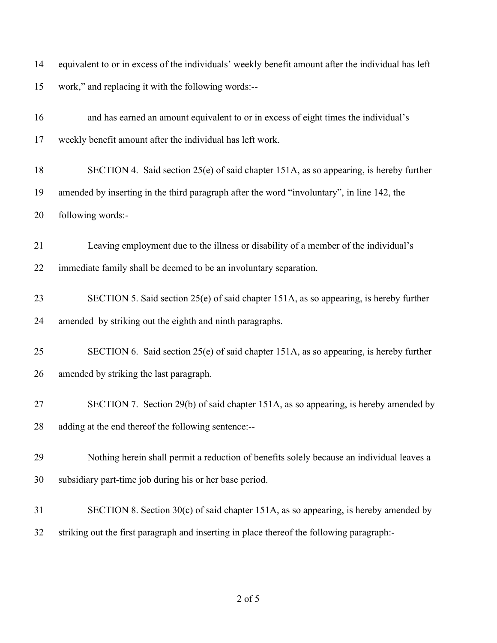| 14 | equivalent to or in excess of the individuals' weekly benefit amount after the individual has left |
|----|----------------------------------------------------------------------------------------------------|
| 15 | work," and replacing it with the following words:--                                                |
| 16 | and has earned an amount equivalent to or in excess of eight times the individual's                |
| 17 | weekly benefit amount after the individual has left work.                                          |
| 18 | SECTION 4. Said section 25(e) of said chapter 151A, as so appearing, is hereby further             |
| 19 | amended by inserting in the third paragraph after the word "involuntary", in line 142, the         |
| 20 | following words:-                                                                                  |
| 21 | Leaving employment due to the illness or disability of a member of the individual's                |
| 22 | immediate family shall be deemed to be an involuntary separation.                                  |
| 23 | SECTION 5. Said section 25(e) of said chapter 151A, as so appearing, is hereby further             |
| 24 | amended by striking out the eighth and ninth paragraphs.                                           |
| 25 | SECTION 6. Said section 25(e) of said chapter 151A, as so appearing, is hereby further             |
| 26 | amended by striking the last paragraph.                                                            |
| 27 | SECTION 7. Section 29(b) of said chapter 151A, as so appearing, is hereby amended by               |
| 28 | adding at the end thereof the following sentence:--                                                |
| 29 | Nothing herein shall permit a reduction of benefits solely because an individual leaves a          |
| 30 | subsidiary part-time job during his or her base period.                                            |
| 31 | SECTION 8. Section 30(c) of said chapter 151A, as so appearing, is hereby amended by               |
| 32 | striking out the first paragraph and inserting in place thereof the following paragraph:-          |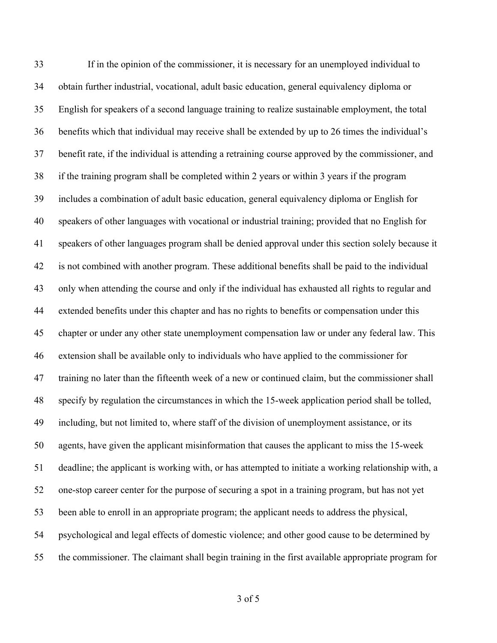If in the opinion of the commissioner, it is necessary for an unemployed individual to obtain further industrial, vocational, adult basic education, general equivalency diploma or English for speakers of a second language training to realize sustainable employment, the total benefits which that individual may receive shall be extended by up to 26 times the individual's benefit rate, if the individual is attending a retraining course approved by the commissioner, and if the training program shall be completed within 2 years or within 3 years if the program includes a combination of adult basic education, general equivalency diploma or English for speakers of other languages with vocational or industrial training; provided that no English for speakers of other languages program shall be denied approval under this section solely because it is not combined with another program. These additional benefits shall be paid to the individual only when attending the course and only if the individual has exhausted all rights to regular and extended benefits under this chapter and has no rights to benefits or compensation under this chapter or under any other state unemployment compensation law or under any federal law. This extension shall be available only to individuals who have applied to the commissioner for training no later than the fifteenth week of a new or continued claim, but the commissioner shall specify by regulation the circumstances in which the 15-week application period shall be tolled, including, but not limited to, where staff of the division of unemployment assistance, or its agents, have given the applicant misinformation that causes the applicant to miss the 15-week deadline; the applicant is working with, or has attempted to initiate a working relationship with, a one-stop career center for the purpose of securing a spot in a training program, but has not yet been able to enroll in an appropriate program; the applicant needs to address the physical, psychological and legal effects of domestic violence; and other good cause to be determined by the commissioner. The claimant shall begin training in the first available appropriate program for

of 5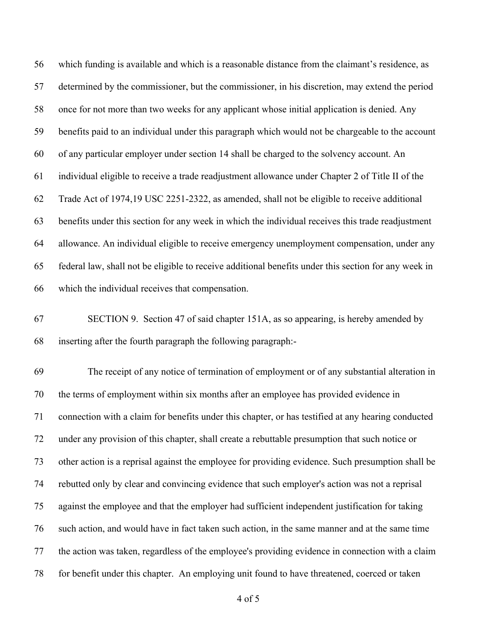which funding is available and which is a reasonable distance from the claimant's residence, as determined by the commissioner, but the commissioner, in his discretion, may extend the period once for not more than two weeks for any applicant whose initial application is denied. Any benefits paid to an individual under this paragraph which would not be chargeable to the account of any particular employer under section 14 shall be charged to the solvency account. An individual eligible to receive a trade readjustment allowance under Chapter 2 of Title II of the Trade Act of 1974,19 USC 2251-2322, as amended, shall not be eligible to receive additional benefits under this section for any week in which the individual receives this trade readjustment allowance. An individual eligible to receive emergency unemployment compensation, under any federal law, shall not be eligible to receive additional benefits under this section for any week in which the individual receives that compensation.

 SECTION 9. Section 47 of said chapter 151A, as so appearing, is hereby amended by inserting after the fourth paragraph the following paragraph:-

 The receipt of any notice of termination of employment or of any substantial alteration in the terms of employment within six months after an employee has provided evidence in connection with a claim for benefits under this chapter, or has testified at any hearing conducted under any provision of this chapter, shall create a rebuttable presumption that such notice or other action is a reprisal against the employee for providing evidence. Such presumption shall be rebutted only by clear and convincing evidence that such employer's action was not a reprisal against the employee and that the employer had sufficient independent justification for taking such action, and would have in fact taken such action, in the same manner and at the same time the action was taken, regardless of the employee's providing evidence in connection with a claim for benefit under this chapter. An employing unit found to have threatened, coerced or taken

of 5